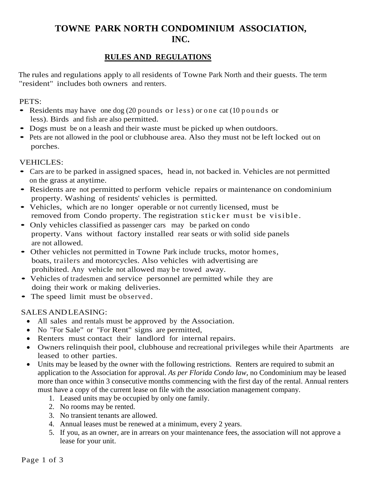# **TOWNE PARK NORTH CONDOMINIUM ASSOCIATION, INC.**

# **RULES AND REGULATIONS**

The rules and regulations apply to all residents of Towne Park North and their guests. The term "resident" includes both owners and renters.

#### PETS:

- Residents may have one dog  $(20$  pounds or less) or one cat  $(10$  pounds or less). Birds and fish are also permitted.
- Dogs must be on a leash and their waste must be picked up when outdoors.
- Pets are not allowed in the pool or clubhouse area. Also they must not be left locked out on porches.

#### **VEHICLES:**

- Cars are to be parked in assigned spaces, head in, not backed in. Vehicles are not permitted on the grass at anytime.
- Residents are not permitted to perform vehicle repairs or maintenance on condominium property. Washing of residents' vehicles is permitted.
- Vehicles, which are no longer operable or not currently licensed, must be removed from Condo property. The registration sticker must be visible.
- Only vehicles classified as passenger cars may be parked on condo property. Vans without factory installed rear seats or with solid side panels are not allowed.
- Other vehicles not permitted in Towne Park include trucks, motor homes, boats, trailers and motorcycles. Also vehicles with advertising are prohibited. Any vehicle not allowed may be towed away.
- Vehicles of tradesmen and service personnel are permitted while they are doing their work or making deliveries.
- The speed limit must be observed.

## SALES ANDLEASING:

- All sales and rentals must be approved by the Association.
- No "For Sale" or "For Rent" signs are permitted,
- Renters must contact their landlord for internal repairs.
- Owners relinquish their pool, clubhouse and recreational privileges while their Apartments are leased to other parties.
- Units may be leased by the owner with the following restrictions. Renters are required to submit an application to the Association for approval. *As per Florida Condo law*, no Condominium may be leased more than once within 3 consecutive months commencing with the first day of the rental. Annual renters must have a copy of the current lease on file with the association management company.
	- 1. Leased units may be occupied by only one family.
	- 2. No rooms may be rented.
	- 3. No transient tenants are allowed.
	- 4. Annual leases must be renewed at a minimum, every 2 years.
	- 5. If you, as an owner, are in arrears on your maintenance fees, the association will not approve a lease for your unit.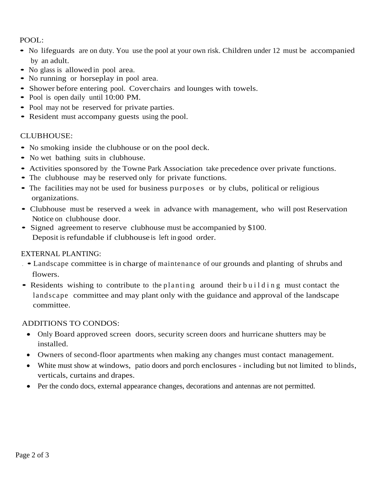# POOL:

- No lifeguards are on duty. You use the pool at your own risk. Children under 12 must be accompanied by an adult.
- No glass is allowed in pool area.
- No running or horseplay in pool area.
- Shower before entering pool. Coverchairs and lounges with towels.
- Pool is open daily until 10:00 PM.
- Pool may not be reserved for private parties.
- Resident must accompany guests using the pool.

#### CLUBHOUSE:

- No smoking inside the clubhouse or on the pool deck.
- No wet bathing suits in clubhouse.
- Activities sponsored by the Towne Park Association take precedence over private functions.
- The clubhouse may be reserved only for private functions.
- The facilities may not be used for business purposes or by clubs, political or religious organizations.
- Clubhouse must be reserved <sup>a</sup> week in advance with management, who will post Reservation Notice on clubhouse door.
- Signed agreement to reserve clubhouse must be accompanied by \$100. Deposit is refundable if clubhouse is left in good order.

## EXTERNAL PLANTING:

- . Landscape committee is in charge of maintenance of our grounds and planting of shrubs and flowers.
- Residents wishing to contribute to the planting around their building must contact the landscape committee and may plant only with the guidance and approval of the landscape committee.

## ADDITIONS TO CONDOS:

- Only Board approved screen doors, security screen doors and hurricane shutters may be installed.
- Owners of second-floor apartments when making any changes must contact management.
- White must show at windows, patio doors and porch enclosures including but not limited to blinds, verticals, curtains and drapes.
- Per the condo docs, external appearance changes, decorations and antennas are not permitted.